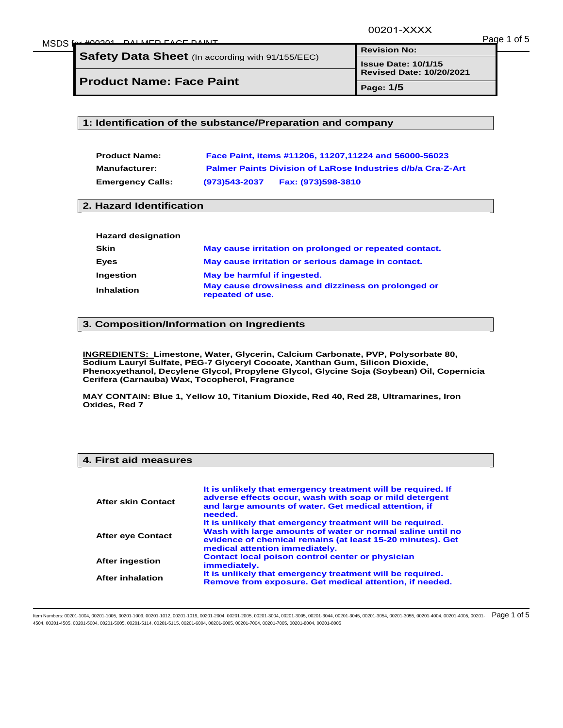00201-XXXX

| MSDS fr<br>$f_{\alpha\alpha}$ $\mu$ $\Omega$ $\Omega$ $\Omega$ | DALMED FACE DAINIT |    | Page 1 |  | ot t |
|----------------------------------------------------------------|--------------------|----|--------|--|------|
|                                                                |                    | __ |        |  |      |

**Safety Data Sheet** (In according with 91/155/EEC)

**Product Name: Face Paint**

**Page: 1/5**

#### **1: Identification of the substance/Preparation and company**

| <b>Product Name:</b>    |               | Face Paint, items #11206, 11207, 11224 and 56000-56023             |
|-------------------------|---------------|--------------------------------------------------------------------|
| <b>Manufacturer:</b>    |               | <b>Palmer Paints Division of LaRose Industries d/b/a Cra-Z-Art</b> |
| <b>Emergency Calls:</b> | (973)543-2037 | Fax: (973)598-3810                                                 |

#### **2. Hazard Identification**

| <b>Hazard designation</b> |                                                                        |
|---------------------------|------------------------------------------------------------------------|
| Skin                      | May cause irritation on prolonged or repeated contact.                 |
| Eves                      | May cause irritation or serious damage in contact.                     |
| Ingestion                 | May be harmful if ingested.                                            |
| <b>Inhalation</b>         | May cause drowsiness and dizziness on prolonged or<br>repeated of use. |

#### **3. Composition/Information on Ingredients**

**INGREDIENTS: Limestone, Water, Glycerin, Calcium Carbonate, PVP, Polysorbate 80, Sodium Lauryl Sulfate, PEG-7 Glyceryl Cocoate, Xanthan Gum, Silicon Dioxide, Phenoxyethanol, Decylene Glycol, Propylene Glycol, Glycine Soja (Soybean) Oil, Copernicia Cerifera (Carnauba) Wax, Tocopherol, Fragrance** 

**MAY CONTAIN: Blue 1, Yellow 10, Titanium Dioxide, Red 40, Red 28, Ultramarines, Iron Oxides, Red 7** 

### **4. First aid measures**

| After skin Contact       | It is unlikely that emergency treatment will be required. If<br>adverse effects occur, wash with soap or mild detergent<br>and large amounts of water. Get medical attention, if<br>needed.                             |
|--------------------------|-------------------------------------------------------------------------------------------------------------------------------------------------------------------------------------------------------------------------|
| <b>After eye Contact</b> | It is unlikely that emergency treatment will be required.<br>Wash with large amounts of water or normal saline until no<br>evidence of chemical remains (at least 15-20 minutes). Get<br>medical attention immediately. |
| <b>After ingestion</b>   | Contact local poison control center or physician<br>immediately.                                                                                                                                                        |
| <b>After inhalation</b>  | It is unlikely that emergency treatment will be required.<br>Remove from exposure. Get medical attention, if needed.                                                                                                    |

ltem Numbers: 00201-1004, 00201-1005, 00201-1009, 00201-1012, 00201-1019, 00201-2004, 00201-2005, 00201-3004, 00201-3004, 00201-3044, 00201-3044, 00201-3044, 00201-3044, 00201-3054, 00201-3055, 00201-4004, 00201-4004, 0020 4504, 00201-4505, 00201-5004, 00201-5005, 00201-5114, 00201-5115, 00201-6004, 00201-6005, 00201-7004, 00201-7005, 00201-8004, 00201-8005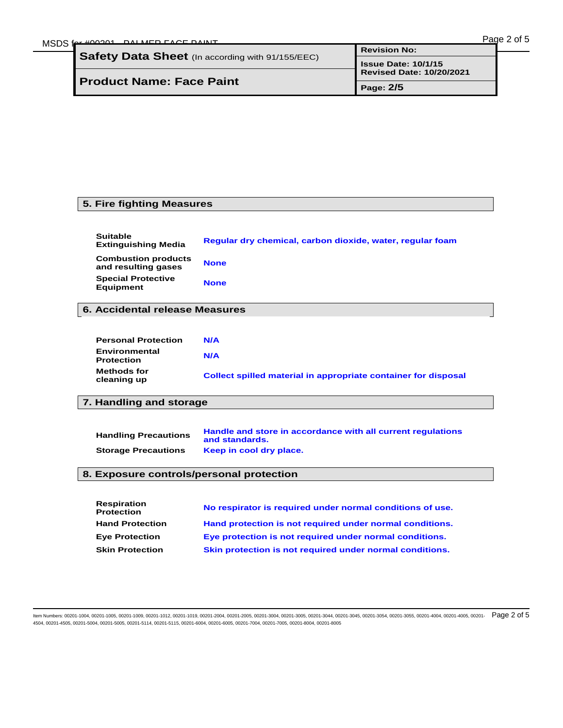| MSDS | $f_{\alpha x}$ $\mu$ 00001 DAIMED FACE DAINT     |                                 | Page 2 of 5 |
|------|--------------------------------------------------|---------------------------------|-------------|
|      |                                                  | <b>Revision No:</b>             |             |
|      | Safety Data Sheet (In according with 91/155/EEC) | <b>Issue Date: 10/1/15</b>      |             |
|      |                                                  | <b>Revised Date: 10/20/2021</b> |             |
|      | <b>Product Name: Face Paint</b>                  | Page: 2/5                       |             |

### **5. Fire fighting Measures**

Ξ

Ξ

| <b>Suitable</b><br><b>Extinguishing Media</b>     | Reqular dry chemical, carbon dioxide, water, reqular foam |
|---------------------------------------------------|-----------------------------------------------------------|
| <b>Combustion products</b><br>and resulting gases | <b>None</b>                                               |
| <b>Special Protective</b><br><b>Equipment</b>     | <b>None</b>                                               |

### **6. Accidental release Measures**

| <b>Personal Protection</b>         | N/A                                                            |
|------------------------------------|----------------------------------------------------------------|
| Environmental<br><b>Protection</b> | N/A                                                            |
| <b>Methods for</b><br>cleaning up  | Collect spilled material in appropriate container for disposal |

# **7. Handling and storage**

| <b>Handling Precautions</b> | Handle and store in accordance with all current regulations<br>and standards. |
|-----------------------------|-------------------------------------------------------------------------------|
| <b>Storage Precautions</b>  | Keep in cool dry place.                                                       |

### **8. Exposure controls/personal protection**

| <b>Respiration</b><br><b>Protection</b> | No respirator is required under normal conditions of use. |
|-----------------------------------------|-----------------------------------------------------------|
| <b>Hand Protection</b>                  | Hand protection is not required under normal conditions.  |
| <b>Eye Protection</b>                   | Eye protection is not required under normal conditions.   |
| <b>Skin Protection</b>                  | Skin protection is not required under normal conditions.  |

ltem Numbers: 00201-1004, 00201-1005, 00201-1009, 00201-1012, 00201-1019, 00201-2004, 00201-2005, 00201-3004, 00201-3004, 00201-3044, 00201-3044, 00201-3044, 00201-3044, 00201-3054, 00201-3055, 00201-4004, 00201-4004, 0020 4504, 00201-4505, 00201-5004, 00201-5005, 00201-5114, 00201-5115, 00201-6004, 00201-6005, 00201-7004, 00201-7005, 00201-8004, 00201-8005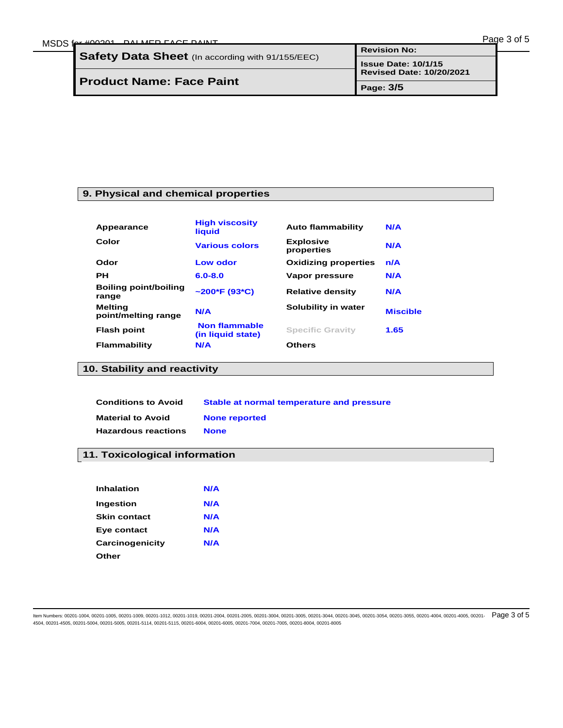| MSDS | $f_{\odot}$ $\star$ $\pm$ $0.0204$ DALMED EACE DAINT    |                                 | Page 3 of 5 |
|------|---------------------------------------------------------|---------------------------------|-------------|
|      | <b>Safety Data Sheet</b> (In according with 91/155/EEC) | <b>Revision No:</b>             |             |
|      |                                                         | <b>Issue Date: 10/1/15</b>      |             |
|      |                                                         | <b>Revised Date: 10/20/2021</b> |             |
|      | <b>Product Name: Face Paint</b>                         | Page: 3/5                       |             |

### **9. Physical and chemical properties**

| Appearance                            | <b>High viscosity</b><br>liquid           | <b>Auto flammability</b>       | N/A             |
|---------------------------------------|-------------------------------------------|--------------------------------|-----------------|
| Color                                 | <b>Various colors</b>                     | <b>Explosive</b><br>properties | N/A             |
| Odor                                  | Low odor                                  | <b>Oxidizing properties</b>    | n/A             |
| <b>PH</b>                             | $6.0 - 8.0$                               | Vapor pressure                 | N/A             |
| <b>Boiling point/boiling</b><br>range | $\sim$ 200*F (93*C)                       | <b>Relative density</b>        | N/A             |
| <b>Melting</b><br>point/melting range | N/A                                       | Solubility in water            | <b>Miscible</b> |
| <b>Flash point</b>                    | <b>Non flammable</b><br>(in liquid state) | <b>Specific Gravity</b>        | 1.65            |
| Flammability                          | N/A                                       | <b>Others</b>                  |                 |

## **10. Stability and reactivity**

Ξ

Ξ

| <b>Conditions to Avoid</b> | Stable at normal temperature and pressure |
|----------------------------|-------------------------------------------|
| <b>Material to Avoid</b>   | <b>None reported</b>                      |
| <b>Hazardous reactions</b> | <b>None</b>                               |

## **11. Toxicological information**

| Inhalation      | N/A |
|-----------------|-----|
| Ingestion       | N/A |
| Skin contact    | N/A |
| Eye contact     | N/A |
| Carcinogenicity | N/A |
| Other           |     |

ltem Numbers: 00201-1004, 00201-1005, 00201-1009, 00201-1012, 00201-1019, 00201-2004, 00201-2005, 00201-3004, 00201-3004, 00201-3040, 00201-3045, 00201-3045, 00201-3055, 00201-3055, 00201-4004, 00201-4004, 00201-3055, 0020 4504, 00201-4505, 00201-5004, 00201-5005, 00201-5114, 00201-5115, 00201-6004, 00201-6005, 00201-7004, 00201-7005, 00201-8004, 00201-8005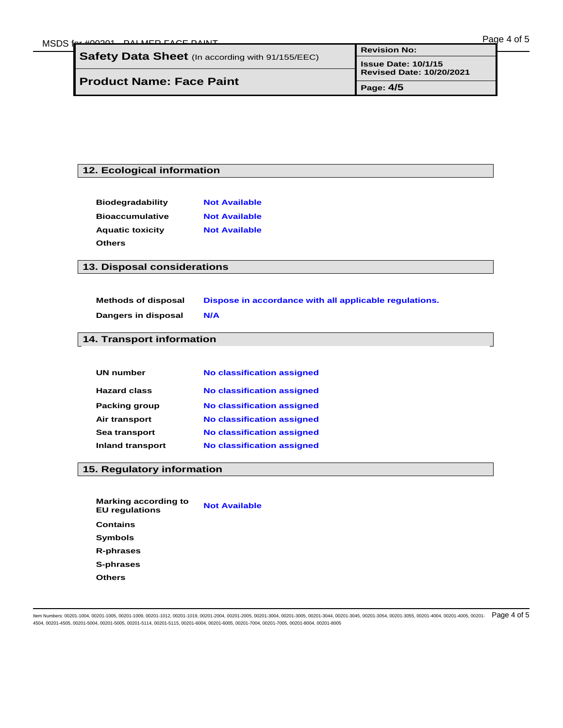# **12. Ecological information**

| <b>Biodegradability</b> | <b>Not Available</b> |
|-------------------------|----------------------|
| <b>Bioaccumulative</b>  | <b>Not Available</b> |
| <b>Aquatic toxicity</b> | <b>Not Available</b> |
| <b>Others</b>           |                      |

### **13. Disposal considerations**

Ξ

| <b>Methods of disposal</b> | Dispose in accordance with all applicable requlations. |
|----------------------------|--------------------------------------------------------|
| Dangers in disposal        | N/A                                                    |

### **14. Transport information**

| <b>UN number</b>        | <b>No classification assigned</b> |
|-------------------------|-----------------------------------|
| <b>Hazard class</b>     | <b>No classification assigned</b> |
| <b>Packing group</b>    | <b>No classification assigned</b> |
| Air transport           | <b>No classification assigned</b> |
| Sea transport           | <b>No classification assigned</b> |
| <b>Inland transport</b> | <b>No classification assigned</b> |

# **15. Regulatory information**

| <b>Marking according to</b><br><b>EU</b> regulations | <b>Not Available</b> |
|------------------------------------------------------|----------------------|
| <b>Contains</b>                                      |                      |
| <b>Symbols</b>                                       |                      |
| R-phrases                                            |                      |
| S-phrases                                            |                      |
| Others                                               |                      |

ltem Numbers: 00201-1004, 00201-1005, 00201-1009, 00201-1012, 00201-1019, 00201-2004, 00201-2005, 00201-3004, 00201-3004, 00201-3044, 00201-3044, 00201-3044, 00201-3045, 00201-304, 00201-3055, 00201-4004, 00201-4004, 00201 4504, 00201-4505, 00201-5004, 00201-5005, 00201-5114, 00201-5115, 00201-6004, 00201-6005, 00201-7004, 00201-7005, 00201-8004, 00201-8005